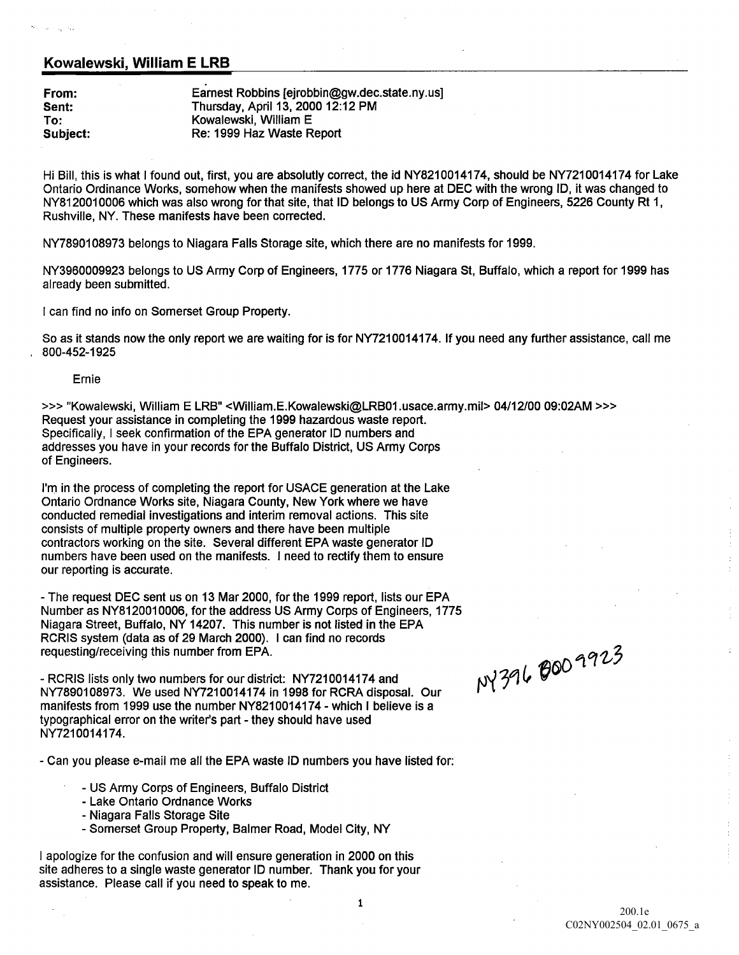## Kowalewski, William E LRB

From: Earnest Robbins [ejrobbin@gw.dec.state.ny.us] Sent: Thursday, April 13, 2000 12:12 PM To: Kowalewski, William E Subject: Re: 1999 Haz Waste Report

Hi Bill, this is what I found out, first, you are absolutly correct, the id NY8210014174, should be NY7210014174 for Lake Ontario Ordinance Works, somehow when the manifests showed up here at DEC with the wrong ID, it was changed to NY8120010006 which was also wrong for that site, that ID belongs to US Army Corp of Engineers, 5226 County Rt 1, Rushville, NY. These manifests have been corrected.

NY7890108973 belongs to Niagara Falls Storage site, which there are no manifests for 1999.

NY3960009923 belongs to US Army Corp of Engineers, 1775 or 1776 Niagara St, Buffalo, which a report for 1999 has already been submitted

I can find no info on Somerset Group Property.

So as it stands now the only report we are waiting for is for NY7210014174. If you need any further assistance, call me 800-452-1925

## Ernie

>>> "Kowalewski, William E LRB" <William.E.Kowalewski@LRB01.usace.army.mil> 04/12/00 09:02AM >>> Request your assistance in completing the <sup>1999</sup> hazardous waste report Specifically, I seek confirmation of the EPA generator ID numbers and addresses you have in your records for the Buffalo District US Army Corps of Engineers

I'm in the process of completing the report for USACE generation at the Lake Ontario Ordnance Works site, Niagara County, New York where we have conducted remedial investigations and interim removal actions. This site consists of multiple property owners and there have been multiple contractors working on the site. Several different EPA waste generator ID numbers have been used on the manifests. I need to rectify them to ensure our reporting is accurate

- The request DEC sent us on 13 Mar 2000, for the 1999 report, lists our EPA Number as NY8120010006, for the address US Army Corps of Engineers, 1775 Niagara Street, Buffalo, NY 14207. This number is not listed in the EPA RCRIS system (data as of 29 March 2000). I can find no records requesting/receiving this number from EPA.  $\sigma$  and  $\sigma$  and  $\sigma$ 

- RCRIS lists only two numbers for our district: NY7210014174 and NY7890108973. We used NY7210014174 in 1998 for RCRA disposal. Our manifests from 1999 use the number NY8210014174 - which I believe is a typographical error on the writer's part - they should have used NY7210014174.

Can you please e-mail me all the EPA waste ID numbers you have listed for

- US Army Corps of Engineers, Buffalo District
- Lake Ontario Ordnance Works
- Niagara Falls Storage Site
- Somerset Group Property, Balmer Road, Model City, NY

apologize for the confusion and will ensure generation in 2000 on this site adheres to a single waste generator ID number. Thank you for your assistance. Please call if you need to speak to me.

 $N$  $3<sup>6</sup>$ 

 $\mathbf 1$